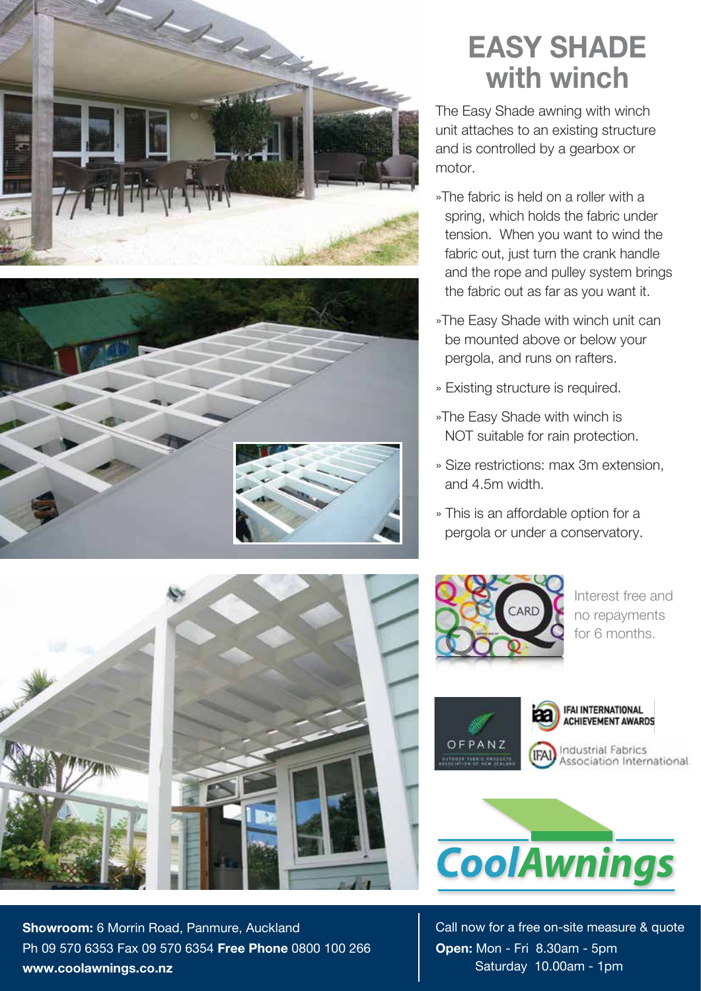



## **EASY SHADE with winch**

The Easy Shade awning with winch unit attaches to an existing structure and is controlled by a gearbox or motor.

- »The fabric is held on a roller with a spring, which holds the fabric under tension. When you want to wind the fabric out, just turn the crank handle and the rope and pulley system brings the fabric out as far as you want it.
- »The Easy Shade with winch unit can be mounted above or below your pergola, and runs on rafters.
- » Existing structure is required.
- »The Easy Shade with winch is NOT suitable for rain protection.
- » Size restrictions: max 3m extension, and 4.5m width.
- » This is an affordable option for a pergola or under a conservatory.



Interest free and no repayments for 6 months.



IFAI INTERNATIONAL **ACHIEVEMENT AWARDS Industrial Fabrics** Association International



Call now for a free on-site measure & quote **Open:** Mon - Fri 8.30am - 5pm Saturday 10.00am - 1pm



**Showroom:** 6 Morrin Road, Panmure, Auckland Ph 09 570 6353 Fax 09 570 6354 **Free Phone** 0800 100 266 **www.coolawnings.co.nz**